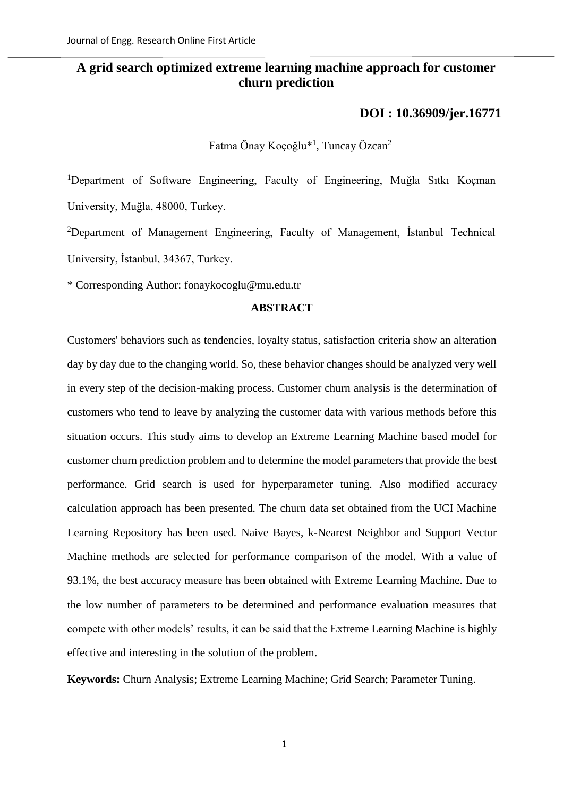## **A grid search optimized extreme learning machine approach for customer churn prediction**

## **[DOI : 10.36909/jer.16771](https://doi.org/10.36909/jer.16771)**

Fatma Önay Koçoğlu\*<sup>1</sup>, Tuncay Özcan<sup>2</sup>

<sup>1</sup>Department of Software Engineering, Faculty of Engineering, Muğla Sıtkı Koçman University, Muğla, 48000, Turkey.

<sup>2</sup>Department of Management Engineering, Faculty of Management, İstanbul Technical University, İstanbul, 34367, Turkey.

\* Corresponding Author: fonaykocoglu@mu.edu.tr

## **ABSTRACT**

Customers' behaviors such as tendencies, loyalty status, satisfaction criteria show an alteration day by day due to the changing world. So, these behavior changes should be analyzed very well in every step of the decision-making process. Customer churn analysis is the determination of customers who tend to leave by analyzing the customer data with various methods before this situation occurs. This study aims to develop an Extreme Learning Machine based model for customer churn prediction problem and to determine the model parameters that provide the best performance. Grid search is used for hyperparameter tuning. Also modified accuracy calculation approach has been presented. The churn data set obtained from the UCI Machine Learning Repository has been used. Naive Bayes, k-Nearest Neighbor and Support Vector Machine methods are selected for performance comparison of the model. With a value of 93.1%, the best accuracy measure has been obtained with Extreme Learning Machine. Due to the low number of parameters to be determined and performance evaluation measures that compete with other models' results, it can be said that the Extreme Learning Machine is highly effective and interesting in the solution of the problem.

**Keywords:** Churn Analysis; Extreme Learning Machine; Grid Search; Parameter Tuning.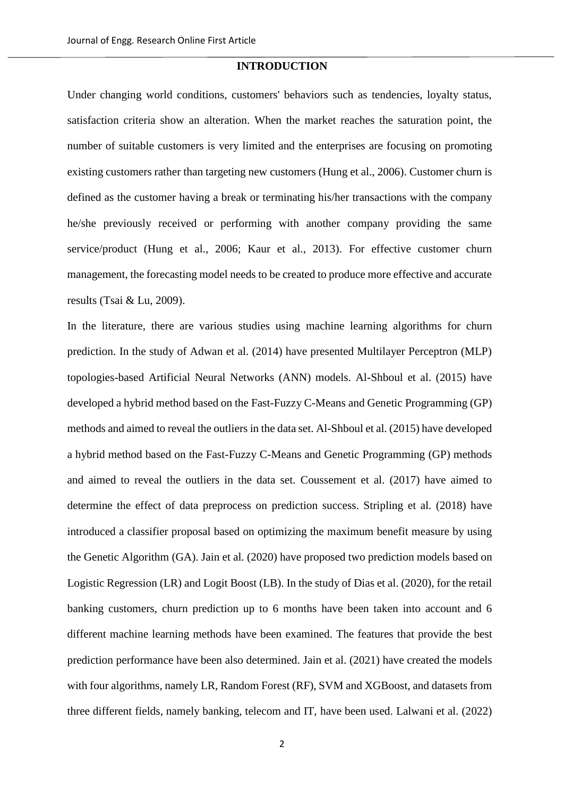#### **INTRODUCTION**

Under changing world conditions, customers' behaviors such as tendencies, loyalty status, satisfaction criteria show an alteration. When the market reaches the saturation point, the number of suitable customers is very limited and the enterprises are focusing on promoting existing customers rather than targeting new customers (Hung et al., 2006). Customer churn is defined as the customer having a break or terminating his/her transactions with the company he/she previously received or performing with another company providing the same service/product (Hung et al., 2006; Kaur et al., 2013). For effective customer churn management, the forecasting model needs to be created to produce more effective and accurate results (Tsai & Lu, 2009).

In the literature, there are various studies using machine learning algorithms for churn prediction. In the study of Adwan et al. (2014) have presented Multilayer Perceptron (MLP) topologies-based Artificial Neural Networks (ANN) models. Al-Shboul et al. (2015) have developed a hybrid method based on the Fast-Fuzzy C-Means and Genetic Programming (GP) methods and aimed to reveal the outliers in the data set. Al-Shboul et al. (2015) have developed a hybrid method based on the Fast-Fuzzy C-Means and Genetic Programming (GP) methods and aimed to reveal the outliers in the data set. Coussement et al. (2017) have aimed to determine the effect of data preprocess on prediction success. Stripling et al. (2018) have introduced a classifier proposal based on optimizing the maximum benefit measure by using the Genetic Algorithm (GA). Jain et al. (2020) have proposed two prediction models based on Logistic Regression (LR) and Logit Boost (LB). In the study of Dias et al. (2020), for the retail banking customers, churn prediction up to 6 months have been taken into account and 6 different machine learning methods have been examined. The features that provide the best prediction performance have been also determined. Jain et al. (2021) have created the models with four algorithms, namely LR, Random Forest (RF), SVM and XGBoost, and datasets from three different fields, namely banking, telecom and IT, have been used. Lalwani et al. (2022)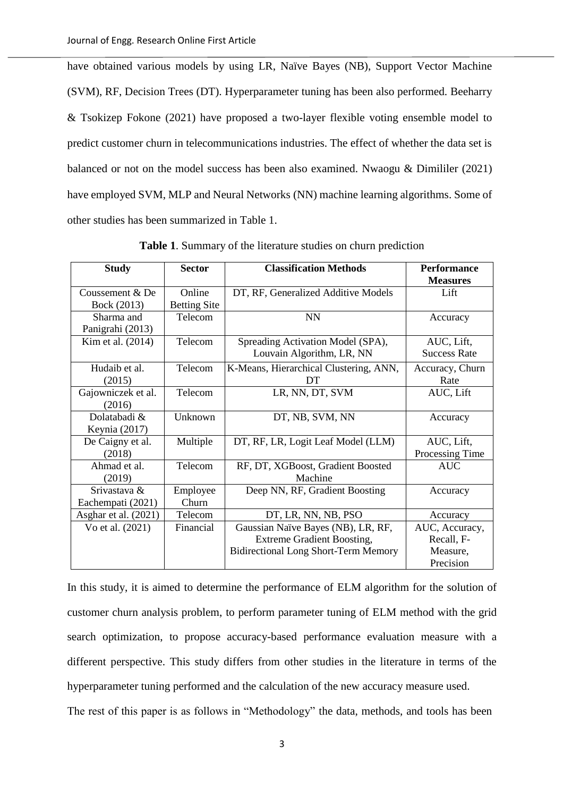have obtained various models by using LR, Naïve Bayes (NB), Support Vector Machine (SVM), RF, Decision Trees (DT). Hyperparameter tuning has been also performed. Beeharry & Tsokizep Fokone (2021) have proposed a two-layer flexible voting ensemble model to predict customer churn in telecommunications industries. The effect of whether the data set is balanced or not on the model success has been also examined. Nwaogu & Dimililer (2021) have employed SVM, MLP and Neural Networks (NN) machine learning algorithms. Some of other studies has been summarized in [Table 1.](#page-2-0)

<span id="page-2-0"></span>

| <b>Study</b>         | <b>Sector</b>                                   | <b>Classification Methods</b>               | <b>Performance</b>  |  |
|----------------------|-------------------------------------------------|---------------------------------------------|---------------------|--|
|                      |                                                 |                                             | <b>Measures</b>     |  |
| Coussement $&$ De    | Online                                          | DT, RF, Generalized Additive Models         | Lift                |  |
| Bock (2013)          | <b>Betting Site</b>                             |                                             |                     |  |
| Sharma and           | Telecom                                         | <b>NN</b>                                   | Accuracy            |  |
| Panigrahi (2013)     |                                                 |                                             |                     |  |
| Kim et al. (2014)    | Telecom                                         | Spreading Activation Model (SPA),           | AUC, Lift,          |  |
|                      |                                                 | Louvain Algorithm, LR, NN                   | <b>Success Rate</b> |  |
| Hudaib et al.        | Telecom                                         | K-Means, Hierarchical Clustering, ANN,      | Accuracy, Churn     |  |
| (2015)               |                                                 | DT                                          | Rate                |  |
| Gajowniczek et al.   | Telecom                                         | LR, NN, DT, SVM                             | AUC, Lift           |  |
| (2016)               |                                                 |                                             |                     |  |
| Dolatabadi &         | Unknown                                         | DT, NB, SVM, NN                             | Accuracy            |  |
| Keynia (2017)        |                                                 |                                             |                     |  |
| De Caigny et al.     | Multiple                                        | DT, RF, LR, Logit Leaf Model (LLM)          | AUC, Lift,          |  |
| (2018)               |                                                 |                                             | Processing Time     |  |
| Ahmad et al.         | Telecom                                         | RF, DT, XGBoost, Gradient Boosted           | <b>AUC</b>          |  |
| (2019)               |                                                 | Machine                                     |                     |  |
| Srivastava &         | Employee                                        | Deep NN, RF, Gradient Boosting              | Accuracy            |  |
| Eachempati (2021)    | Churn                                           |                                             |                     |  |
| Asghar et al. (2021) | Telecom                                         | DT, LR, NN, NB, PSO                         | Accuracy            |  |
| Vo et al. (2021)     | Financial<br>Gaussian Naïve Bayes (NB), LR, RF, |                                             | AUC, Accuracy,      |  |
|                      |                                                 | <b>Extreme Gradient Boosting,</b>           | Recall, F-          |  |
|                      |                                                 | <b>Bidirectional Long Short-Term Memory</b> | Measure,            |  |
|                      |                                                 |                                             | Precision           |  |

**Table 1**. Summary of the literature studies on churn prediction

In this study, it is aimed to determine the performance of ELM algorithm for the solution of customer churn analysis problem, to perform parameter tuning of ELM method with the grid search optimization, to propose accuracy-based performance evaluation measure with a different perspective. This study differs from other studies in the literature in terms of the hyperparameter tuning performed and the calculation of the new accuracy measure used.

The rest of this paper is as follows in "Methodology" the data, methods, and tools has been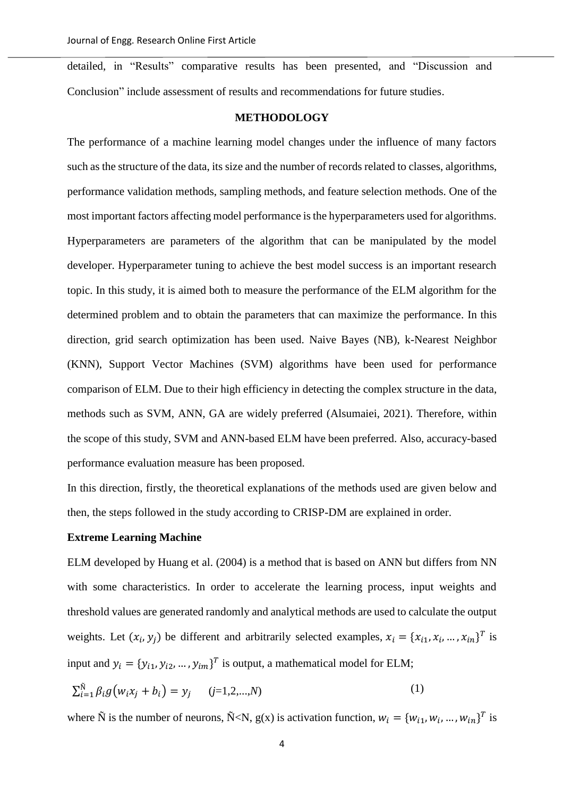detailed, in "Results" comparative results has been presented, and "Discussion and Conclusion" include assessment of results and recommendations for future studies.

#### **METHODOLOGY**

The performance of a machine learning model changes under the influence of many factors such as the structure of the data, its size and the number of records related to classes, algorithms, performance validation methods, sampling methods, and feature selection methods. One of the most important factors affecting model performance is the hyperparameters used for algorithms. Hyperparameters are parameters of the algorithm that can be manipulated by the model developer. Hyperparameter tuning to achieve the best model success is an important research topic. In this study, it is aimed both to measure the performance of the ELM algorithm for the determined problem and to obtain the parameters that can maximize the performance. In this direction, grid search optimization has been used. Naive Bayes (NB), k-Nearest Neighbor (KNN), Support Vector Machines (SVM) algorithms have been used for performance comparison of ELM. Due to their high efficiency in detecting the complex structure in the data, methods such as SVM, ANN, GA are widely preferred (Alsumaiei, 2021). Therefore, within the scope of this study, SVM and ANN-based ELM have been preferred. Also, accuracy-based performance evaluation measure has been proposed.

In this direction, firstly, the theoretical explanations of the methods used are given below and then, the steps followed in the study according to CRISP-DM are explained in order.

#### **Extreme Learning Machine**

ELM developed by Huang et al. (2004) is a method that is based on ANN but differs from NN with some characteristics. In order to accelerate the learning process, input weights and threshold values are generated randomly and analytical methods are used to calculate the output weights. Let  $(x_i, y_j)$  be different and arbitrarily selected examples,  $x_i = \{x_{i1}, x_i, ..., x_{in}\}^T$  is input and  $y_i = \{y_{i1}, y_{i2}, ..., y_{im}\}^T$  is output, a mathematical model for ELM;

$$
\sum_{i=1}^{\tilde{N}} \beta_i g(w_i x_j + b_i) = y_j \qquad (j=1,2,...,N)
$$
 (1)

where  $\tilde{N}$  is the number of neurons,  $\tilde{N} < N$ ,  $g(x)$  is activation function,  $w_i = \{w_{i1}, w_i, ..., w_{in}\}^T$  is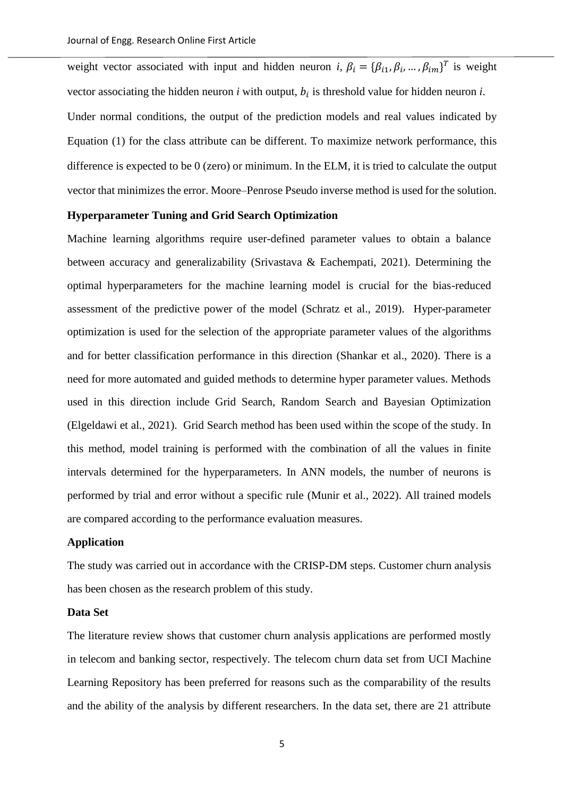weight vector associated with input and hidden neuron *i*,  $\beta_i = {\beta_{i1}, \beta_i, ..., \beta_{im}}^T$  is weight vector associating the hidden neuron  $i$  with output,  $b_i$  is threshold value for hidden neuron  $i$ .

Under normal conditions, the output of the prediction models and real values indicated by Equation (1) for the class attribute can be different. To maximize network performance, this difference is expected to be 0 (zero) or minimum. In the ELM, it is tried to calculate the output vector that minimizes the error. Moore–Penrose Pseudo inverse method is used for the solution.

## **Hyperparameter Tuning and Grid Search Optimization**

Machine learning algorithms require user-defined parameter values to obtain a balance between accuracy and generalizability (Srivastava & Eachempati, 2021). Determining the optimal hyperparameters for the machine learning model is crucial for the bias-reduced assessment of the predictive power of the model (Schratz et al., 2019). Hyper-parameter optimization is used for the selection of the appropriate parameter values of the algorithms and for better classification performance in this direction (Shankar et al., 2020). There is a need for more automated and guided methods to determine hyper parameter values. Methods used in this direction include Grid Search, Random Search and Bayesian Optimization (Elgeldawi et al., 2021). Grid Search method has been used within the scope of the study. In this method, model training is performed with the combination of all the values in finite intervals determined for the hyperparameters. In ANN models, the number of neurons is performed by trial and error without a specific rule (Munir et al., 2022). All trained models are compared according to the performance evaluation measures.

#### **Application**

The study was carried out in accordance with the CRISP-DM steps. Customer churn analysis has been chosen as the research problem of this study.

#### **Data Set**

The literature review shows that customer churn analysis applications are performed mostly in telecom and banking sector, respectively. The telecom churn data set from UCI Machine Learning Repository has been preferred for reasons such as the comparability of the results and the ability of the analysis by different researchers. In the data set, there are 21 attribute

5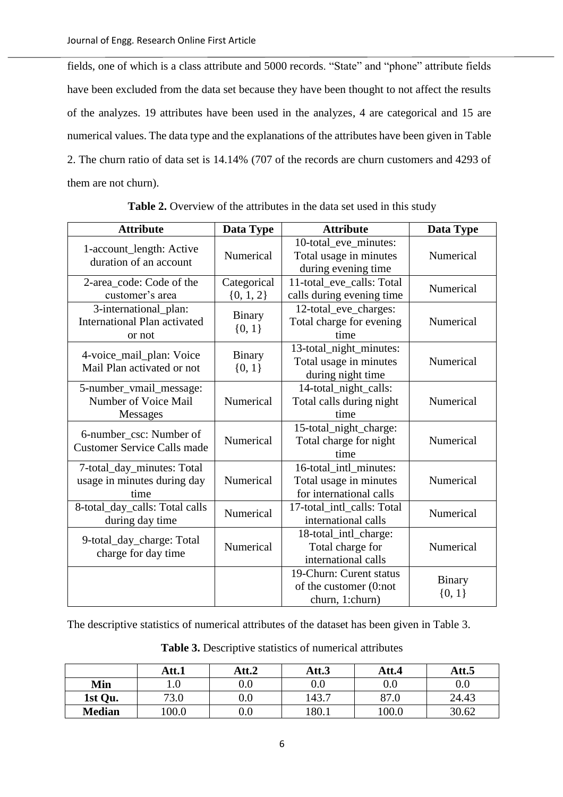fields, one of which is a class attribute and 5000 records. "State" and "phone" attribute fields have been excluded from the data set because they have been thought to not affect the results of the analyzes. 19 attributes have been used in the analyzes, 4 are categorical and 15 are numerical values. The data type and the explanations of the attributes have been given i[n Table](#page-5-0)  [2.](#page-5-0) The churn ratio of data set is 14.14% (707 of the records are churn customers and 4293 of them are not churn).

<span id="page-5-0"></span>

| <b>Attribute</b>                                                       | Data Type                                                                              | <b>Attribute</b>                                                            | Data Type                 |
|------------------------------------------------------------------------|----------------------------------------------------------------------------------------|-----------------------------------------------------------------------------|---------------------------|
| 1-account_length: Active<br>duration of an account                     | Numerical                                                                              | 10-total_eve_minutes:<br>Total usage in minutes<br>during evening time      | Numerical                 |
| 2-area code: Code of the<br>customer's area                            | Categorical<br>$\{0, 1, 2\}$                                                           | 11-total_eve_calls: Total<br>calls during evening time                      | Numerical                 |
| 3-international_plan:<br><b>International Plan activated</b><br>or not | 12-total_eve_charges:<br><b>Binary</b><br>Total charge for evening<br>${0, 1}$<br>time |                                                                             | Numerical                 |
| 4-voice_mail_plan: Voice<br>Mail Plan activated or not                 | <b>Binary</b><br>${0, 1}$                                                              | 13-total_night_minutes:<br>Total usage in minutes<br>during night time      | Numerical                 |
| 5-number_vmail_message:<br>Number of Voice Mail<br>Messages            | Numerical                                                                              | 14-total_night_calls:<br>Total calls during night<br>time                   | Numerical                 |
| 6-number_csc: Number of<br><b>Customer Service Calls made</b>          | Numerical                                                                              | 15-total_night_charge:<br>Total charge for night<br>time                    | Numerical                 |
| 7-total_day_minutes: Total<br>usage in minutes during day<br>time      | Numerical                                                                              | 16-total_intl_minutes:<br>Total usage in minutes<br>for international calls | Numerical                 |
| 8-total_day_calls: Total calls<br>during day time                      | Numerical                                                                              | 17-total_intl_calls: Total<br>international calls                           | Numerical                 |
| 9-total_day_charge: Total<br>charge for day time                       | Numerical                                                                              | 18-total_intl_charge:<br>Total charge for<br>international calls            | Numerical                 |
|                                                                        |                                                                                        | 19-Churn: Curent status<br>of the customer (0:not<br>churn, 1:churn)        | <b>Binary</b><br>${0, 1}$ |

**Table 2.** Overview of the attributes in the data set used in this study

The descriptive statistics of numerical attributes of the dataset has been given in Table 3.

|               | Att.1 | Att.2 | Att.3    | Att.4   | Att.5   |
|---------------|-------|-------|----------|---------|---------|
| Min           | v     | V.V   | $_{0.0}$ | $0.0\,$ | $0.0\,$ |
| 1st Qu.       | 73.0  | v.v   | 143.7    | 87.0    | 24.43   |
| <b>Median</b> | 100.0 | v.u   | 180.1    | 100.0   | 30.62   |

**Table 3.** Descriptive statistics of numerical attributes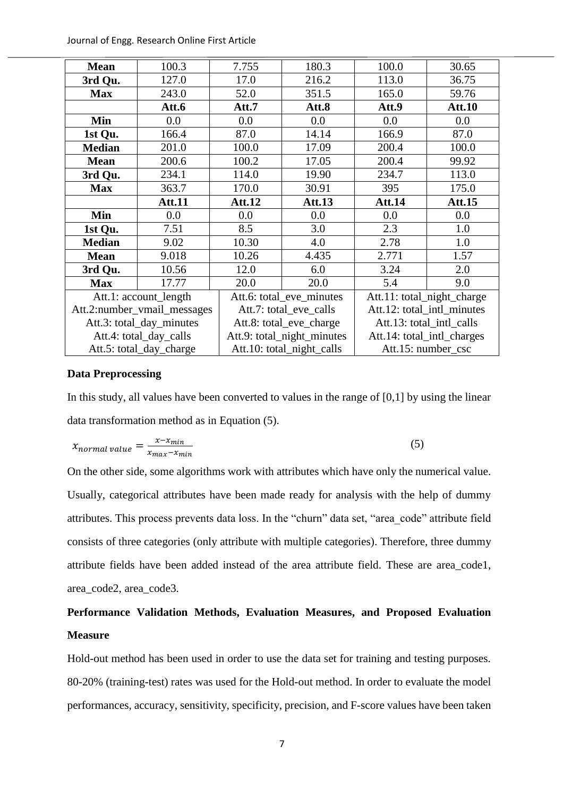Journal of Engg. Research Online First Article

| <b>Mean</b>              | 100.3                       | 7.755                      | 180.3                     | 100.0                      | 30.65         |  |
|--------------------------|-----------------------------|----------------------------|---------------------------|----------------------------|---------------|--|
| 3rd Qu.                  | 127.0                       | 17.0                       | 216.2                     | 113.0                      | 36.75         |  |
| <b>Max</b>               | 243.0                       | 52.0                       | 351.5                     | 165.0                      | 59.76         |  |
|                          | Att.6                       | Att.7                      | Att.8                     | Att.9                      | <b>Att.10</b> |  |
| Min                      | 0.0                         | 0.0                        | 0.0                       | 0.0                        | 0.0           |  |
| 1st Qu.                  | 166.4                       | 87.0                       | 14.14                     | 166.9                      | 87.0          |  |
| <b>Median</b>            | 201.0                       | 100.0                      | 17.09                     | 200.4                      | 100.0         |  |
| <b>Mean</b>              | 200.6                       | 100.2                      | 17.05                     | 200.4                      | 99.92         |  |
| 3rd Qu.                  | 234.1                       | 114.0                      | 19.90                     | 234.7                      | 113.0         |  |
| <b>Max</b>               | 363.7                       | 170.0                      | 30.91                     | 395                        | 175.0         |  |
|                          | <b>Att.11</b>               | Att.12                     | <b>Att.13</b>             | Att.14                     | <b>Att.15</b> |  |
| Min                      | 0.0                         | 0.0                        | 0.0                       | 0.0                        | 0.0           |  |
| 1st Qu.                  | 7.51                        | 8.5                        | 3.0                       | 2.3                        | 1.0           |  |
| <b>Median</b>            | 9.02                        | 10.30                      | 4.0                       | 2.78                       | 1.0           |  |
| <b>Mean</b>              | 9.018                       | 10.26                      | 4.435                     | 2.771                      | 1.57          |  |
| 3rd Qu.                  | 10.56                       | 12.0                       | 6.0                       | 3.24                       | 2.0           |  |
| <b>Max</b>               | 17.77                       | 20.0                       | 20.0                      |                            | 9.0           |  |
| Att.1: account_length    |                             | Att.6: total_eve_minutes   |                           | Att.11: total_night_charge |               |  |
|                          | Att.2:number_vmail_messages | Att.7: total_eve_calls     |                           | Att.12: total_intl_minutes |               |  |
| Att.3: total_day_minutes |                             | Att.8: total_eve_charge    |                           | Att.13: total_intl_calls   |               |  |
| Att.4: total_day_calls   |                             | Att.9: total_night_minutes |                           | Att.14: total_intl_charges |               |  |
| Att.5: total_day_charge  |                             |                            | Att.10: total_night_calls | Att.15: number_csc         |               |  |

#### **Data Preprocessing**

In this study, all values have been converted to values in the range of [0,1] by using the linear data transformation method as in Equation (5).

$$
x_{normal\ value} = \frac{x - x_{min}}{x_{max} - x_{min}}\tag{5}
$$

On the other side, some algorithms work with attributes which have only the numerical value. Usually, categorical attributes have been made ready for analysis with the help of dummy attributes. This process prevents data loss. In the "churn" data set, "area\_code" attribute field consists of three categories (only attribute with multiple categories). Therefore, three dummy attribute fields have been added instead of the area attribute field. These are area\_code1, area\_code2, area\_code3.

# **Performance Validation Methods, Evaluation Measures, and Proposed Evaluation Measure**

Hold-out method has been used in order to use the data set for training and testing purposes. 80-20% (training-test) rates was used for the Hold-out method. In order to evaluate the model performances, accuracy, sensitivity, specificity, precision, and F-score values have been taken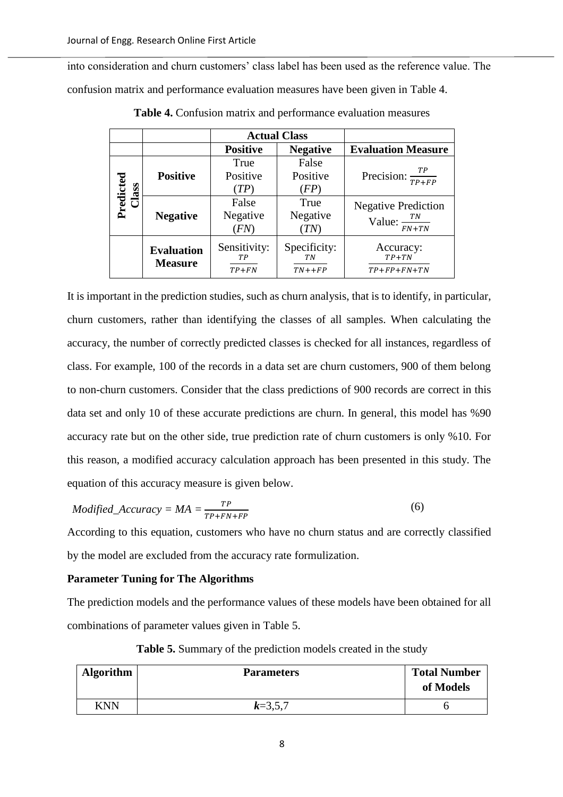<span id="page-7-0"></span>into consideration and churn customers' class label has been used as the reference value. The confusion matrix and performance evaluation measures have been given in [Table 4.](#page-7-0)

|                        |                                              |                               | <b>Actual Class</b>                |                                                         |
|------------------------|----------------------------------------------|-------------------------------|------------------------------------|---------------------------------------------------------|
|                        |                                              | <b>Positive</b>               | <b>Negative</b>                    | <b>Evaluation Measure</b>                               |
| Predicted<br>lass<br>౯ | <b>Positive</b>                              | True<br>Positive<br>(TP)      | False<br>Positive<br>(FP)          | Precision: $\frac{TP}{TP+FP}$                           |
|                        | False<br>Negative<br><b>Negative</b><br>(FN) |                               | True<br>Negative<br>$^{\prime}TN)$ | <b>Negative Prediction</b><br>Value: $\frac{TN}{FN+TN}$ |
|                        | <b>Evaluation</b><br><b>Measure</b>          | Sensitivity:<br>TР<br>$TP+FN$ | Specificity:<br>TN<br>$TN++FP$     | Accuracy:<br>$TP+TN$<br>$TP + FP + FN + TN$             |

**Table 4.** Confusion matrix and performance evaluation measures

It is important in the prediction studies, such as churn analysis, that is to identify, in particular, churn customers, rather than identifying the classes of all samples. When calculating the accuracy, the number of correctly predicted classes is checked for all instances, regardless of class. For example, 100 of the records in a data set are churn customers, 900 of them belong to non-churn customers. Consider that the class predictions of 900 records are correct in this data set and only 10 of these accurate predictions are churn. In general, this model has %90 accuracy rate but on the other side, true prediction rate of churn customers is only %10. For this reason, a modified accuracy calculation approach has been presented in this study. The equation of this accuracy measure is given below.

$$
Modified\_Accuracy = MA = \frac{TP}{TP + FN + FP}
$$
 (6)

According to this equation, customers who have no churn status and are correctly classified by the model are excluded from the accuracy rate formulization.

#### **Parameter Tuning for The Algorithms**

The prediction models and the performance values of these models have been obtained for all combinations of parameter values given in [Table 5.](#page-7-1)

<span id="page-7-1"></span>

| <b>Algorithm</b> | <b>Parameters</b> | <b>Total Number</b><br>of Models |
|------------------|-------------------|----------------------------------|
| KNN              | $k=3,5,7$         |                                  |

**Table 5.** Summary of the prediction models created in the study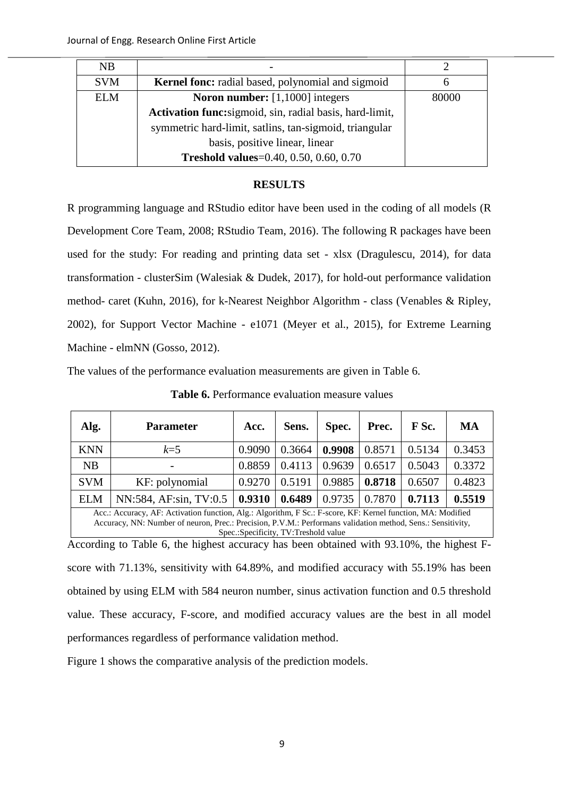| NB         |                                                          |       |
|------------|----------------------------------------------------------|-------|
| <b>SVM</b> | <b>Kernel fonc:</b> radial based, polynomial and sigmoid |       |
| <b>ELM</b> | <b>Noron number:</b> $[1,1000]$ integers                 | 80000 |
|            | Activation func:sigmoid, sin, radial basis, hard-limit,  |       |
|            | symmetric hard-limit, satlins, tan-sigmoid, triangular   |       |
|            | basis, positive linear, linear                           |       |
|            | Treshold values=0.40, 0.50, 0.60, 0.70                   |       |

## **RESULTS**

R programming language and RStudio editor have been used in the coding of all models (R Development Core Team, 2008; RStudio Team, 2016). The following R packages have been used for the study: For reading and printing data set - xlsx (Dragulescu, 2014), for data transformation - clusterSim (Walesiak & Dudek, 2017), for hold-out performance validation method- caret (Kuhn, 2016), for k-Nearest Neighbor Algorithm - class (Venables & Ripley, 2002), for Support Vector Machine - e1071 (Meyer et al., 2015), for Extreme Learning Machine - elmNN (Gosso, 2012).

<span id="page-8-0"></span>The values of the performance evaluation measurements are given in [Table 6.](#page-8-0)

| Alg.                                                                                                        | <b>Parameter</b>       | Acc.   | Sens.  | Spec.  | Prec.  | F Sc.  | MA     |
|-------------------------------------------------------------------------------------------------------------|------------------------|--------|--------|--------|--------|--------|--------|
| <b>KNN</b>                                                                                                  | $k=5$                  | 0.9090 | 0.3664 | 0.9908 | 0.8571 | 0.5134 | 0.3453 |
| NB                                                                                                          |                        | 0.8859 | 0.4113 | 0.9639 | 0.6517 | 0.5043 | 0.3372 |
| <b>SVM</b>                                                                                                  | KF: polynomial         | 0.9270 | 0.5191 | 0.9885 | 0.8718 | 0.6507 | 0.4823 |
| <b>ELM</b>                                                                                                  | NN:584, AF:sin, TV:0.5 | 0.9310 | 0.6489 | 0.9735 | 0.7870 | 0.7113 | 0.5519 |
| Acc.: Accuracy, AF: Activation function, Alg.: Algorithm, F Sc.: F-score, KF: Kernel function, MA: Modified |                        |        |        |        |        |        |        |

**Table 6.** Performance evaluation measure values

Accuracy, NN: Number of neuron, Prec.: Precision, P.V.M.: Performans validation method, Sens.: Sensitivity, Spec.:Specificity, TV:Treshold value

According to Table 6, the highest accuracy has been obtained with 93.10%, the highest Fscore with 71.13%, sensitivity with 64.89%, and modified accuracy with 55.19% has been obtained by using ELM with 584 neuron number, sinus activation function and 0.5 threshold value. These accuracy, F-score, and modified accuracy values are the best in all model performances regardless of performance validation method.

[Figure 1](#page-9-0) shows the comparative analysis of the prediction models.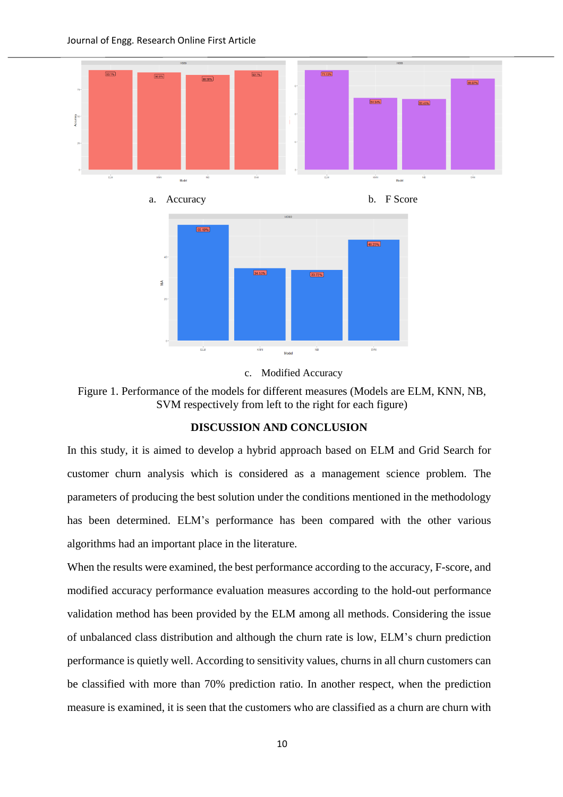

c. Modified Accuracy

<span id="page-9-0"></span>Figure 1. Performance of the models for different measures (Models are ELM, KNN, NB, SVM respectively from left to the right for each figure)

#### **DISCUSSION AND CONCLUSION**

In this study, it is aimed to develop a hybrid approach based on ELM and Grid Search for customer churn analysis which is considered as a management science problem. The parameters of producing the best solution under the conditions mentioned in the methodology has been determined. ELM's performance has been compared with the other various algorithms had an important place in the literature.

When the results were examined, the best performance according to the accuracy, F-score, and modified accuracy performance evaluation measures according to the hold-out performance validation method has been provided by the ELM among all methods. Considering the issue of unbalanced class distribution and although the churn rate is low, ELM's churn prediction performance is quietly well. According to sensitivity values, churns in all churn customers can be classified with more than 70% prediction ratio. In another respect, when the prediction measure is examined, it is seen that the customers who are classified as a churn are churn with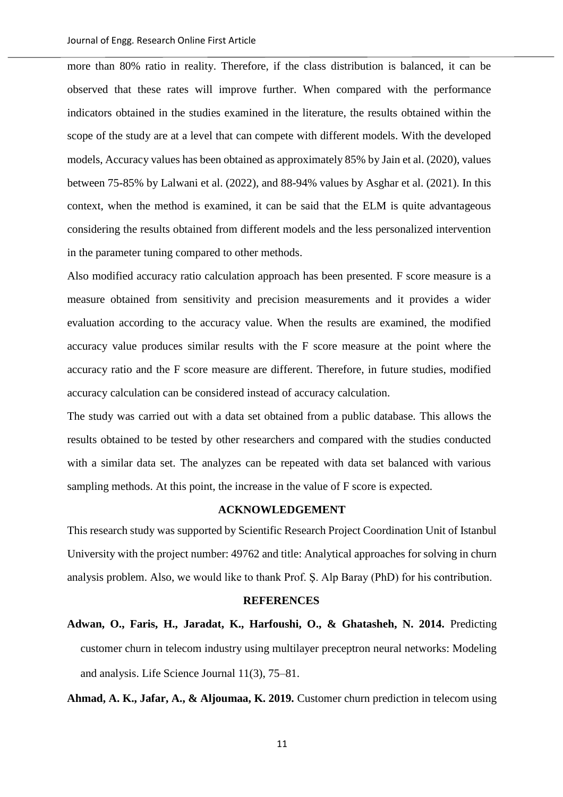more than 80% ratio in reality. Therefore, if the class distribution is balanced, it can be observed that these rates will improve further. When compared with the performance indicators obtained in the studies examined in the literature, the results obtained within the scope of the study are at a level that can compete with different models. With the developed models, Accuracy values has been obtained as approximately 85% by Jain et al. (2020), values between 75-85% by Lalwani et al. (2022), and 88-94% values by Asghar et al. (2021). In this context, when the method is examined, it can be said that the ELM is quite advantageous considering the results obtained from different models and the less personalized intervention in the parameter tuning compared to other methods.

Also modified accuracy ratio calculation approach has been presented. F score measure is a measure obtained from sensitivity and precision measurements and it provides a wider evaluation according to the accuracy value. When the results are examined, the modified accuracy value produces similar results with the F score measure at the point where the accuracy ratio and the F score measure are different. Therefore, in future studies, modified accuracy calculation can be considered instead of accuracy calculation.

The study was carried out with a data set obtained from a public database. This allows the results obtained to be tested by other researchers and compared with the studies conducted with a similar data set. The analyzes can be repeated with data set balanced with various sampling methods. At this point, the increase in the value of F score is expected.

#### **ACKNOWLEDGEMENT**

This research study was supported by Scientific Research Project Coordination Unit of Istanbul University with the project number: 49762 and title: Analytical approaches for solving in churn analysis problem. Also, we would like to thank Prof. Ş. Alp Baray (PhD) for his contribution.

#### **REFERENCES**

**Adwan, O., Faris, H., Jaradat, K., Harfoushi, O., & Ghatasheh, N. 2014.** Predicting customer churn in telecom industry using multilayer preceptron neural networks: Modeling and analysis. Life Science Journal 11(3), 75–81.

**Ahmad, A. K., Jafar, A., & Aljoumaa, K. 2019.** Customer churn prediction in telecom using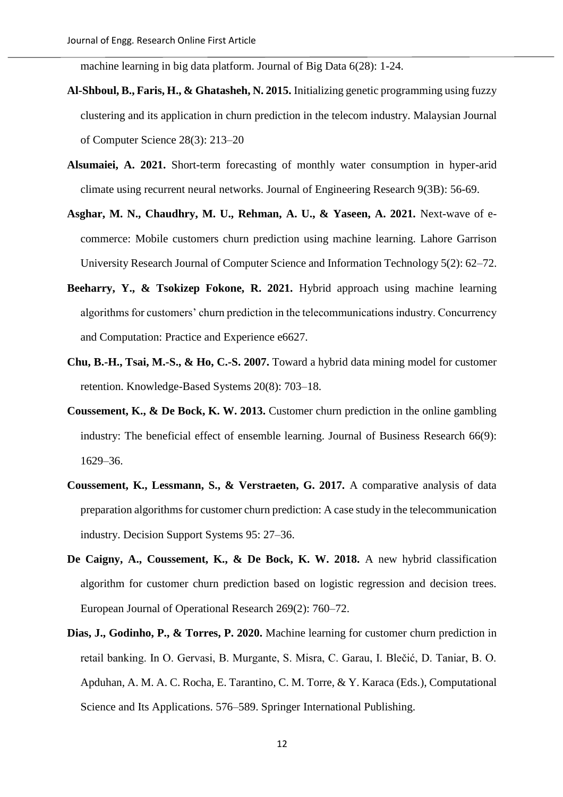machine learning in big data platform. Journal of Big Data 6(28): 1-24.

- **Al-Shboul, B., Faris, H., & Ghatasheh, N. 2015.** Initializing genetic programming using fuzzy clustering and its application in churn prediction in the telecom industry. Malaysian Journal of Computer Science 28(3): 213–20
- **Alsumaiei, A. 2021.** Short-term forecasting of monthly water consumption in hyper-arid climate using recurrent neural networks. Journal of Engineering Research 9(3B): 56-69.
- **Asghar, M. N., Chaudhry, M. U., Rehman, A. U., & Yaseen, A. 2021.** Next-wave of ecommerce: Mobile customers churn prediction using machine learning. Lahore Garrison University Research Journal of Computer Science and Information Technology 5(2): 62–72.
- **Beeharry, Y., & Tsokizep Fokone, R. 2021.** Hybrid approach using machine learning algorithms for customers' churn prediction in the telecommunications industry. Concurrency and Computation: Practice and Experience e6627.
- **Chu, B.-H., Tsai, M.-S., & Ho, C.-S. 2007.** Toward a hybrid data mining model for customer retention. Knowledge-Based Systems 20(8): 703–18.
- **Coussement, K., & De Bock, K. W. 2013.** Customer churn prediction in the online gambling industry: The beneficial effect of ensemble learning. Journal of Business Research 66(9): 1629–36.
- **Coussement, K., Lessmann, S., & Verstraeten, G. 2017.** A comparative analysis of data preparation algorithms for customer churn prediction: A case study in the telecommunication industry. Decision Support Systems 95: 27–36.
- **De Caigny, A., Coussement, K., & De Bock, K. W. 2018.** A new hybrid classification algorithm for customer churn prediction based on logistic regression and decision trees. European Journal of Operational Research 269(2): 760–72.
- **Dias, J., Godinho, P., & Torres, P. 2020.** Machine learning for customer churn prediction in retail banking. In O. Gervasi, B. Murgante, S. Misra, C. Garau, I. Blečić, D. Taniar, B. O. Apduhan, A. M. A. C. Rocha, E. Tarantino, C. M. Torre, & Y. Karaca (Eds.), Computational Science and Its Applications. 576–589. Springer International Publishing.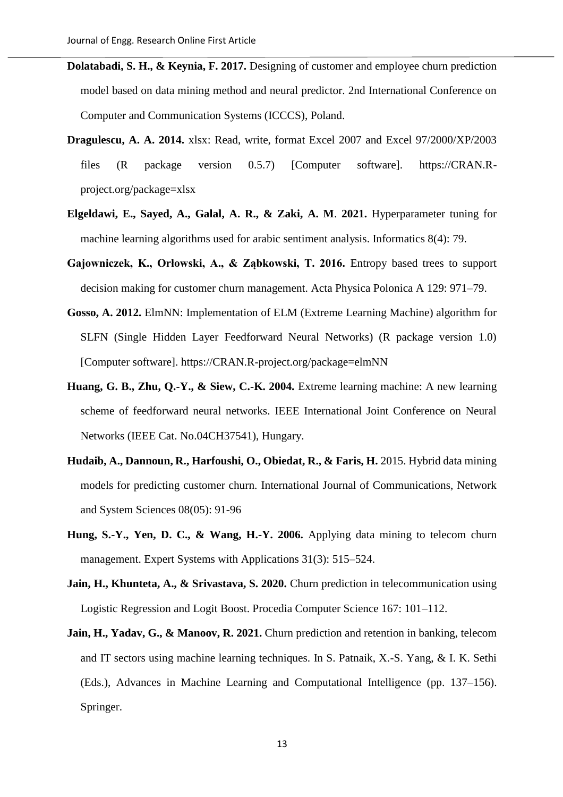- **Dolatabadi, S. H., & Keynia, F. 2017.** Designing of customer and employee churn prediction model based on data mining method and neural predictor. 2nd International Conference on Computer and Communication Systems (ICCCS), Poland.
- **Dragulescu, A. A. 2014.** xlsx: Read, write, format Excel 2007 and Excel 97/2000/XP/2003 files (R package version 0.5.7) [Computer software]. https://CRAN.Rproject.org/package=xlsx
- **Elgeldawi, E., Sayed, A., Galal, A. R., & Zaki, A. M**. **2021.** Hyperparameter tuning for machine learning algorithms used for arabic sentiment analysis. Informatics 8(4): 79.
- **Gajowniczek, K., Orłowski, A., & Ząbkowski, T. 2016.** Entropy based trees to support decision making for customer churn management. Acta Physica Polonica A 129: 971–79.
- **Gosso, A. 2012.** ElmNN: Implementation of ELM (Extreme Learning Machine) algorithm for SLFN (Single Hidden Layer Feedforward Neural Networks) (R package version 1.0) [Computer software]. https://CRAN.R-project.org/package=elmNN
- **Huang, G. B., Zhu, Q.-Y., & Siew, C.-K. 2004.** Extreme learning machine: A new learning scheme of feedforward neural networks. IEEE International Joint Conference on Neural Networks (IEEE Cat. No.04CH37541), Hungary.
- Hudaib, A., Dannoun, R., Harfoushi, O., Obiedat, R., & Faris, H. 2015. Hybrid data mining models for predicting customer churn. International Journal of Communications, Network and System Sciences 08(05): 91-96
- **Hung, S.-Y., Yen, D. C., & Wang, H.-Y. 2006.** Applying data mining to telecom churn management. Expert Systems with Applications 31(3): 515–524.
- **Jain, H., Khunteta, A., & Srivastava, S. 2020.** Churn prediction in telecommunication using Logistic Regression and Logit Boost. Procedia Computer Science 167: 101–112.
- Jain, H., Yadav, G., & Manoov, R. 2021. Churn prediction and retention in banking, telecom and IT sectors using machine learning techniques. In S. Patnaik, X.-S. Yang, & I. K. Sethi (Eds.), Advances in Machine Learning and Computational Intelligence (pp. 137–156). Springer.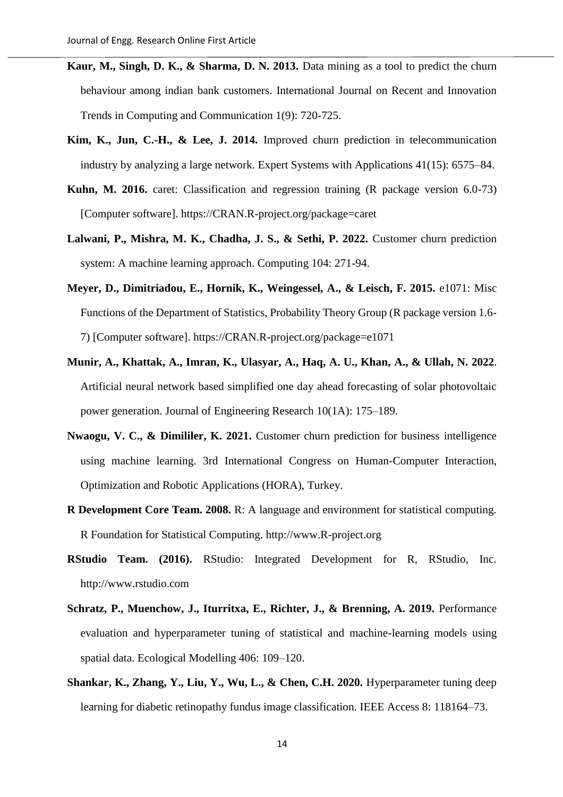- **Kaur, M., Singh, D. K., & Sharma, D. N. 2013.** Data mining as a tool to predict the churn behaviour among indian bank customers. International Journal on Recent and Innovation Trends in Computing and Communication 1(9): 720-725.
- **Kim, K., Jun, C.-H., & Lee, J. 2014.** Improved churn prediction in telecommunication industry by analyzing a large network. Expert Systems with Applications 41(15): 6575–84.
- **Kuhn, M. 2016.** caret: Classification and regression training (R package version 6.0-73) [Computer software]. https://CRAN.R-project.org/package=caret
- Lalwani, P., Mishra, M. K., Chadha, J. S., & Sethi, P. 2022. Customer churn prediction system: A machine learning approach. Computing 104: 271-94.
- **Meyer, D., Dimitriadou, E., Hornik, K., Weingessel, A., & Leisch, F. 2015.** e1071: Misc Functions of the Department of Statistics, Probability Theory Group (R package version 1.6- 7) [Computer software]. https://CRAN.R-project.org/package=e1071
- **Munir, A., Khattak, A., Imran, K., Ulasyar, A., Haq, A. U., Khan, A., & Ullah, N. 2022**. Artificial neural network based simplified one day ahead forecasting of solar photovoltaic power generation. Journal of Engineering Research 10(1A): 175–189.
- **Nwaogu, V. C., & Dimililer, K. 2021.** Customer churn prediction for business intelligence using machine learning. 3rd International Congress on Human-Computer Interaction, Optimization and Robotic Applications (HORA), Turkey.
- **R Development Core Team. 2008.** R: A language and environment for statistical computing. R Foundation for Statistical Computing. http://www.R-project.org
- **RStudio Team. (2016).** RStudio: Integrated Development for R, RStudio, Inc. http://www.rstudio.com
- **Schratz, P., Muenchow, J., Iturritxa, E., Richter, J., & Brenning, A. 2019.** Performance evaluation and hyperparameter tuning of statistical and machine-learning models using spatial data. Ecological Modelling 406: 109–120.
- **Shankar, K., Zhang, Y., Liu, Y., Wu, L., & Chen, C.H. 2020.** Hyperparameter tuning deep learning for diabetic retinopathy fundus image classification. IEEE Access 8: 118164–73.